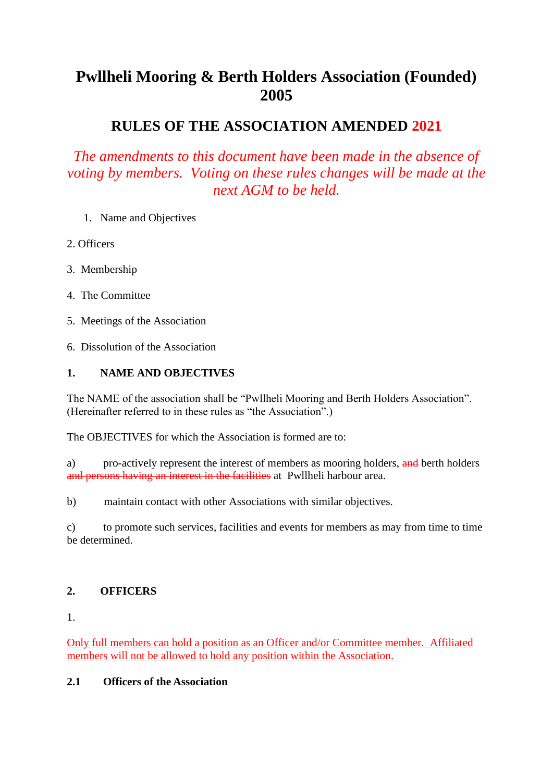# **Pwllheli Mooring & Berth Holders Association (Founded) 2005**

## **RULES OF THE ASSOCIATION AMENDED 2021**

*The amendments to this document have been made in the absence of voting by members. Voting on these rules changes will be made at the next AGM to be held.*

- 1. Name and Objectives
- 2. Officers
- 3. Membership
- 4. The Committee
- 5. Meetings of the Association
- 6. Dissolution of the Association

## **1. NAME AND OBJECTIVES**

The NAME of the association shall be "Pwllheli Mooring and Berth Holders Association". (Hereinafter referred to in these rules as "the Association".)

The OBJECTIVES for which the Association is formed are to:

a) pro-actively represent the interest of members as mooring holders, and berth holders and persons having an interest in the facilities at Pwllheli harbour area.

b) maintain contact with other Associations with similar objectives.

c) to promote such services, facilities and events for members as may from time to time be determined.

## **2. OFFICERS**

1.

Only full members can hold a position as an Officer and/or Committee member. Affiliated members will not be allowed to hold any position within the Association.

#### **2.1 Officers of the Association**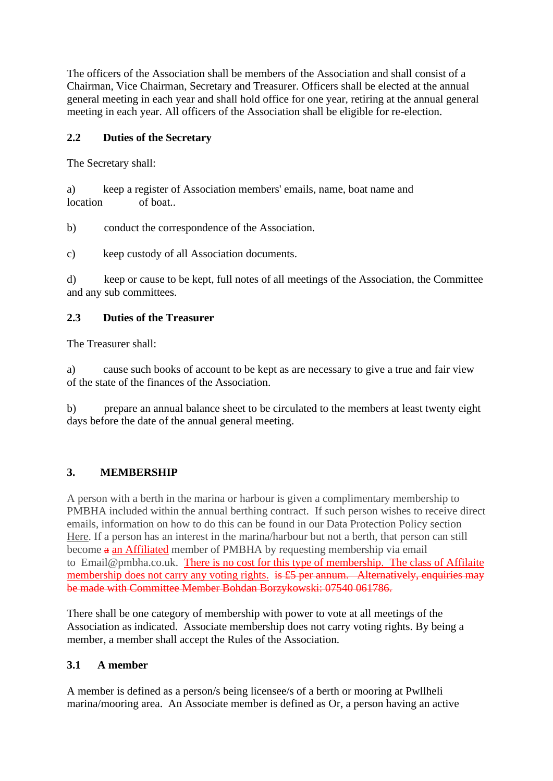The officers of the Association shall be members of the Association and shall consist of a Chairman, Vice Chairman, Secretary and Treasurer. Officers shall be elected at the annual general meeting in each year and shall hold office for one year, retiring at the annual general meeting in each year. All officers of the Association shall be eligible for re-election.

## **2.2 Duties of the Secretary**

The Secretary shall:

a) keep a register of Association members' emails, name, boat name and location of boat..

b) conduct the correspondence of the Association.

c) keep custody of all Association documents.

d) keep or cause to be kept, full notes of all meetings of the Association, the Committee and any sub committees.

## **2.3 Duties of the Treasurer**

The Treasurer shall:

a) cause such books of account to be kept as are necessary to give a true and fair view of the state of the finances of the Association.

b) prepare an annual balance sheet to be circulated to the members at least twenty eight days before the date of the annual general meeting.

## **3. MEMBERSHIP**

A person with a berth in the marina or harbour is given a complimentary membership to PMBHA included within the annual berthing contract. If such person wishes to receive direct emails, information on how to do this can be found in our Data Protection Policy section Here. If a person has an interest in the marina/harbour but not a berth, that person can still become a an Affiliated member of PMBHA by requesting membership via email to Email@pmbha.co.uk. There is no cost for this type of membership. The class of Affilaite membership does not carry any voting rights. is  $\sharp$  be annum. Alternatively, enquiries may be made with Committee Member Bohdan Borzykowski: 07540 061786.

There shall be one category of membership with power to vote at all meetings of the Association as indicated. Associate membership does not carry voting rights. By being a member, a member shall accept the Rules of the Association.

#### **3.1 A member**

A member is defined as a person/s being licensee/s of a berth or mooring at Pwllheli marina/mooring area. An Associate member is defined as Or, a person having an active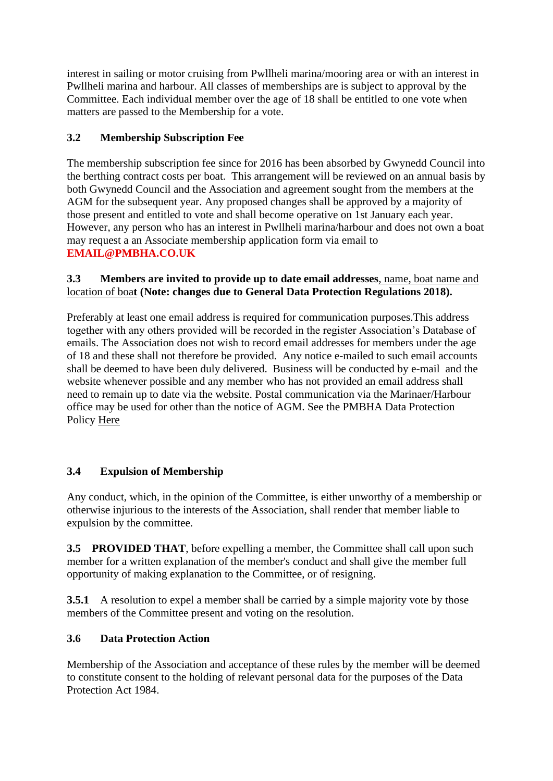interest in sailing or motor cruising from Pwllheli marina/mooring area or with an interest in Pwllheli marina and harbour. All classes of memberships are is subject to approval by the Committee. Each individual member over the age of 18 shall be entitled to one vote when matters are passed to the Membership for a vote.

## **3.2 Membership Subscription Fee**

The membership subscription fee since for 2016 has been absorbed by Gwynedd Council into the berthing contract costs per boat. This arrangement will be reviewed on an annual basis by both Gwynedd Council and the Association and agreement sought from the members at the AGM for the subsequent year. Any proposed changes shall be approved by a majority of those present and entitled to vote and shall become operative on 1st January each year. However, any person who has an interest in Pwllheli marina/harbour and does not own a boat may request a an Associate membership application form via email to **EMAIL@PMBHA.CO.UK**

#### **3.3 Members are invited to provide up to date email addresses**, name, boat name and location of boa**t (Note: changes due to General Data Protection Regulations 2018).**

Preferably at least one email address is required for communication purposes.This address together with any others provided will be recorded in the register Association's Database of emails. The Association does not wish to record email addresses for members under the age of 18 and these shall not therefore be provided. Any notice e-mailed to such email accounts shall be deemed to have been duly delivered. Business will be conducted by e-mail and the website whenever possible and any member who has not provided an email address shall need to remain up to date via the website. Postal communication via the Marinaer/Harbour office may be used for other than the notice of AGM. See the PMBHA Data Protection Policy Here

## **3.4 Expulsion of Membership**

Any conduct, which, in the opinion of the Committee, is either unworthy of a membership or otherwise injurious to the interests of the Association, shall render that member liable to expulsion by the committee.

**3.5 PROVIDED THAT**, before expelling a member, the Committee shall call upon such member for a written explanation of the member's conduct and shall give the member full opportunity of making explanation to the Committee, or of resigning.

**3.5.1** A resolution to expel a member shall be carried by a simple majority vote by those members of the Committee present and voting on the resolution.

## **3.6 Data Protection Action**

Membership of the Association and acceptance of these rules by the member will be deemed to constitute consent to the holding of relevant personal data for the purposes of the Data Protection Act 1984.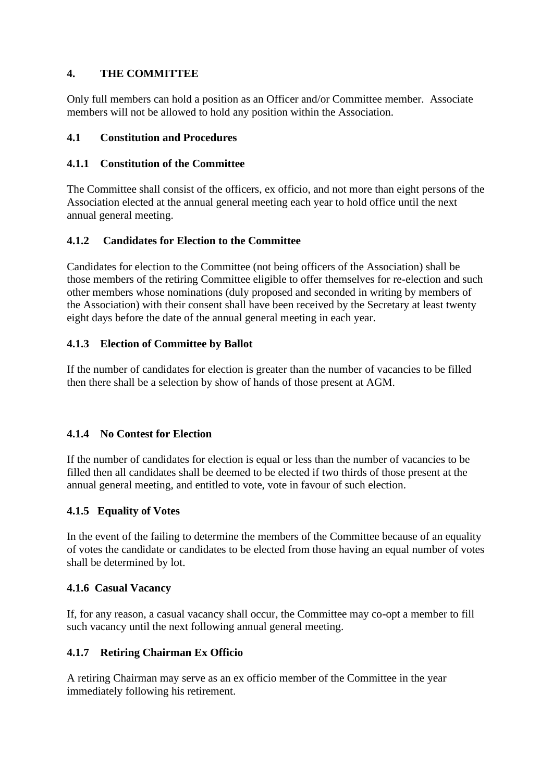## **4. THE COMMITTEE**

Only full members can hold a position as an Officer and/or Committee member. Associate members will not be allowed to hold any position within the Association.

#### **4.1 Constitution and Procedures**

#### **4.1.1 Constitution of the Committee**

The Committee shall consist of the officers, ex officio, and not more than eight persons of the Association elected at the annual general meeting each year to hold office until the next annual general meeting.

## **4.1.2 Candidates for Election to the Committee**

Candidates for election to the Committee (not being officers of the Association) shall be those members of the retiring Committee eligible to offer themselves for re-election and such other members whose nominations (duly proposed and seconded in writing by members of the Association) with their consent shall have been received by the Secretary at least twenty eight days before the date of the annual general meeting in each year.

#### **4.1.3 Election of Committee by Ballot**

If the number of candidates for election is greater than the number of vacancies to be filled then there shall be a selection by show of hands of those present at AGM.

#### **4.1.4 No Contest for Election**

If the number of candidates for election is equal or less than the number of vacancies to be filled then all candidates shall be deemed to be elected if two thirds of those present at the annual general meeting, and entitled to vote, vote in favour of such election.

#### **4.1.5 Equality of Votes**

In the event of the failing to determine the members of the Committee because of an equality of votes the candidate or candidates to be elected from those having an equal number of votes shall be determined by lot.

#### **4.1.6 Casual Vacancy**

If, for any reason, a casual vacancy shall occur, the Committee may co-opt a member to fill such vacancy until the next following annual general meeting.

#### **4.1.7 Retiring Chairman Ex Officio**

A retiring Chairman may serve as an ex officio member of the Committee in the year immediately following his retirement.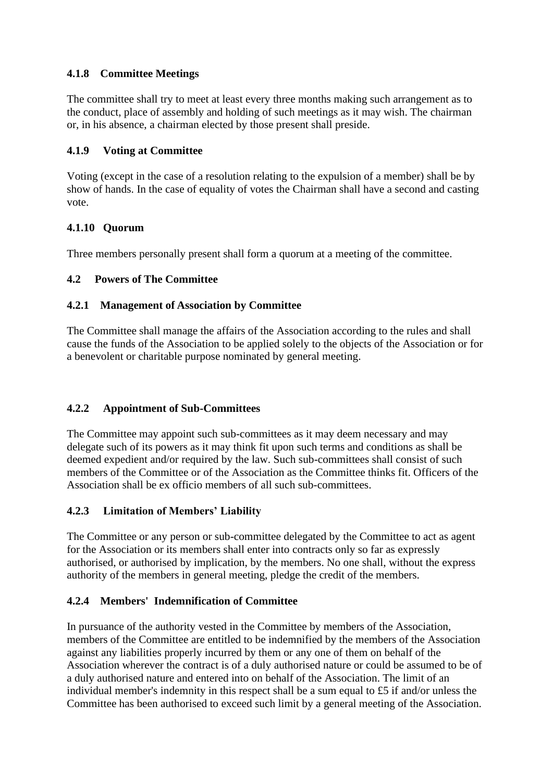## **4.1.8 Committee Meetings**

The committee shall try to meet at least every three months making such arrangement as to the conduct, place of assembly and holding of such meetings as it may wish. The chairman or, in his absence, a chairman elected by those present shall preside.

#### **4.1.9 Voting at Committee**

Voting (except in the case of a resolution relating to the expulsion of a member) shall be by show of hands. In the case of equality of votes the Chairman shall have a second and casting vote.

## **4.1.10 Quorum**

Three members personally present shall form a quorum at a meeting of the committee.

#### **4.2 Powers of The Committee**

#### **4.2.1 Management of Association by Committee**

The Committee shall manage the affairs of the Association according to the rules and shall cause the funds of the Association to be applied solely to the objects of the Association or for a benevolent or charitable purpose nominated by general meeting.

#### **4.2.2 Appointment of Sub-Committees**

The Committee may appoint such sub-committees as it may deem necessary and may delegate such of its powers as it may think fit upon such terms and conditions as shall be deemed expedient and/or required by the law. Such sub-committees shall consist of such members of the Committee or of the Association as the Committee thinks fit. Officers of the Association shall be ex officio members of all such sub-committees.

#### **4.2.3 Limitation of Members' Liability**

The Committee or any person or sub-committee delegated by the Committee to act as agent for the Association or its members shall enter into contracts only so far as expressly authorised, or authorised by implication, by the members. No one shall, without the express authority of the members in general meeting, pledge the credit of the members.

#### **4.2.4 Members' Indemnification of Committee**

In pursuance of the authority vested in the Committee by members of the Association, members of the Committee are entitled to be indemnified by the members of the Association against any liabilities properly incurred by them or any one of them on behalf of the Association wherever the contract is of a duly authorised nature or could be assumed to be of a duly authorised nature and entered into on behalf of the Association. The limit of an individual member's indemnity in this respect shall be a sum equal to £5 if and/or unless the Committee has been authorised to exceed such limit by a general meeting of the Association.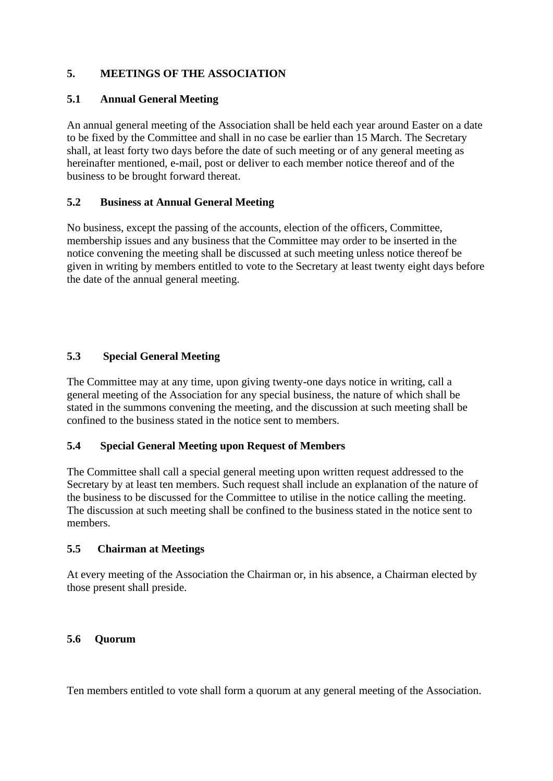## **5. MEETINGS OF THE ASSOCIATION**

#### **5.1 Annual General Meeting**

An annual general meeting of the Association shall be held each year around Easter on a date to be fixed by the Committee and shall in no case be earlier than 15 March. The Secretary shall, at least forty two days before the date of such meeting or of any general meeting as hereinafter mentioned, e-mail, post or deliver to each member notice thereof and of the business to be brought forward thereat.

#### **5.2 Business at Annual General Meeting**

No business, except the passing of the accounts, election of the officers, Committee, membership issues and any business that the Committee may order to be inserted in the notice convening the meeting shall be discussed at such meeting unless notice thereof be given in writing by members entitled to vote to the Secretary at least twenty eight days before the date of the annual general meeting.

#### **5.3 Special General Meeting**

The Committee may at any time, upon giving twenty-one days notice in writing, call a general meeting of the Association for any special business, the nature of which shall be stated in the summons convening the meeting, and the discussion at such meeting shall be confined to the business stated in the notice sent to members.

#### **5.4 Special General Meeting upon Request of Members**

The Committee shall call a special general meeting upon written request addressed to the Secretary by at least ten members. Such request shall include an explanation of the nature of the business to be discussed for the Committee to utilise in the notice calling the meeting. The discussion at such meeting shall be confined to the business stated in the notice sent to members.

#### **5.5 Chairman at Meetings**

At every meeting of the Association the Chairman or, in his absence, a Chairman elected by those present shall preside.

#### **5.6 Quorum**

Ten members entitled to vote shall form a quorum at any general meeting of the Association.